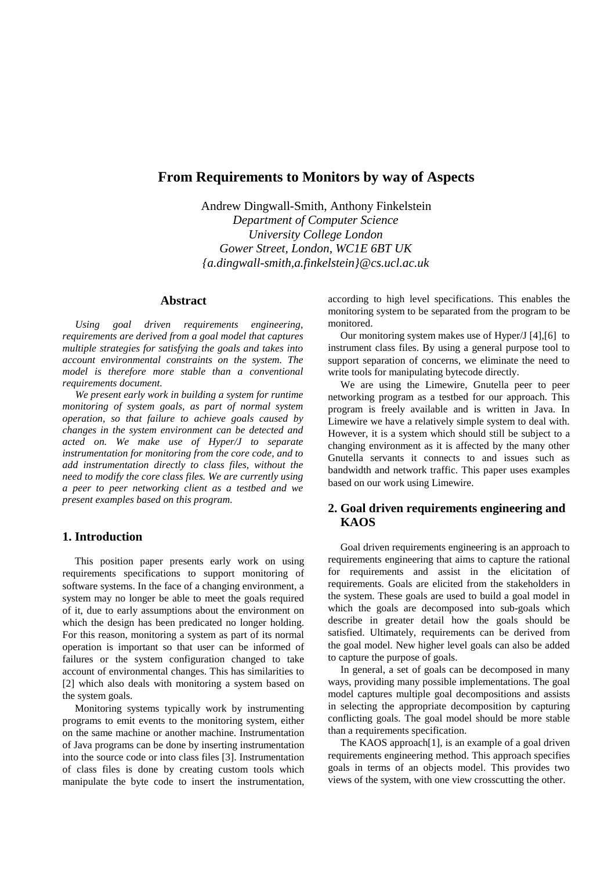# **From Requirements to Monitors by way of Aspects**

Andrew Dingwall-Smith, Anthony Finkelstein *Department of Computer Science University College London Gower Street, London, WC1E 6BT UK {a.dingwall-smith,a.finkelstein}@cs.ucl.ac.uk*

# **Abstract**

*Using goal driven requirements engineering, requirements are derived from a goal model that captures multiple strategies for satisfying the goals and takes into account environmental constraints on the system. The model is therefore more stable than a conventional requirements document.*

*We present early work in building a system for runtime monitoring of system goals, as part of normal system operation, so that failure to achieve goals caused by changes in the system environment can be detected and acted on. We make use of Hyper/J to separate instrumentation for monitoring from the core code, and to add instrumentation directly to class files, without the need to modify the core class files. We are currently using a peer to peer networking client as a testbed and we present examples based on this program.*

# **1. Introduction**

This position paper presents early work on using requirements specifications to support monitoring of software systems. In the face of a changing environment, a system may no longer be able to meet the goals required of it, due to early assumptions about the environment on which the design has been predicated no longer holding. For this reason, monitoring a system as part of its normal operation is important so that user can be informed of failures or the system configuration changed to take account of environmental changes. This has similarities to [2] which also deals with monitoring a system based on the system goals.

Monitoring systems typically work by instrumenting programs to emit events to the monitoring system, either on the same machine or another machine. Instrumentation of Java programs can be done by inserting instrumentation into the source code or into class files [3]. Instrumentation of class files is done by creating custom tools which manipulate the byte code to insert the instrumentation,

according to high level specifications. This enables the monitoring system to be separated from the program to be monitored.

Our monitoring system makes use of Hyper/J [4],[6] to instrument class files. By using a general purpose tool to support separation of concerns, we eliminate the need to write tools for manipulating bytecode directly.

We are using the Limewire, Gnutella peer to peer networking program as a testbed for our approach. This program is freely available and is written in Java. In Limewire we have a relatively simple system to deal with. However, it is a system which should still be subject to a changing environment as it is affected by the many other Gnutella servants it connects to and issues such as bandwidth and network traffic. This paper uses examples based on our work using Limewire.

# **2. Goal driven requirements engineering and KAOS**

Goal driven requirements engineering is an approach to requirements engineering that aims to capture the rational for requirements and assist in the elicitation of requirements. Goals are elicited from the stakeholders in the system. These goals are used to build a goal model in which the goals are decomposed into sub-goals which describe in greater detail how the goals should be satisfied. Ultimately, requirements can be derived from the goal model. New higher level goals can also be added to capture the purpose of goals.

In general, a set of goals can be decomposed in many ways, providing many possible implementations. The goal model captures multiple goal decompositions and assists in selecting the appropriate decomposition by capturing conflicting goals. The goal model should be more stable than a requirements specification.

The KAOS approach[1], is an example of a goal driven requirements engineering method. This approach specifies goals in terms of an objects model. This provides two views of the system, with one view crosscutting the other.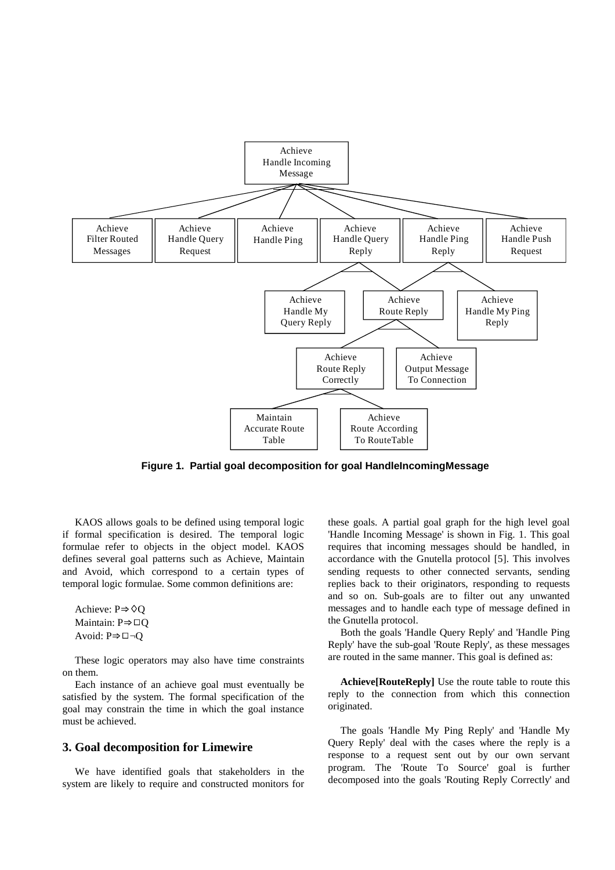

**Figure 1. Partial goal decomposition for goal HandleIncomingMessage**

KAOS allows goals to be defined using temporal logic if formal specification is desired. The temporal logic formulae refer to objects in the object model. KAOS defines several goal patterns such as Achieve, Maintain and Avoid, which correspond to a certain types of temporal logic formulae. Some common definitions are:

Achieve:  $P \Rightarrow \Diamond Q$ Maintain:  $P \Rightarrow \Box Q$ Avoid:  $P \Rightarrow \Box \neg Q$ 

These logic operators may also have time constraints on them.

Each instance of an achieve goal must eventually be satisfied by the system. The formal specification of the goal may constrain the time in which the goal instance must be achieved.

### **3. Goal decomposition for Limewire**

We have identified goals that stakeholders in the system are likely to require and constructed monitors for

these goals. A partial goal graph for the high level goal 'Handle Incoming Message' is shown in Fig. 1. This goal requires that incoming messages should be handled, in accordance with the Gnutella protocol [5]. This involves sending requests to other connected servants, sending replies back to their originators, responding to requests and so on. Sub-goals are to filter out any unwanted messages and to handle each type of message defined in the Gnutella protocol.

Both the goals 'Handle Query Reply' and 'Handle Ping Reply' have the sub-goal 'Route Reply', as these messages are routed in the same manner. This goal is defined as:

**Achieve[RouteReply]** Use the route table to route this reply to the connection from which this connection originated.

The goals 'Handle My Ping Reply' and 'Handle My Query Reply' deal with the cases where the reply is a response to a request sent out by our own servant program. The 'Route To Source' goal is further decomposed into the goals 'Routing Reply Correctly' and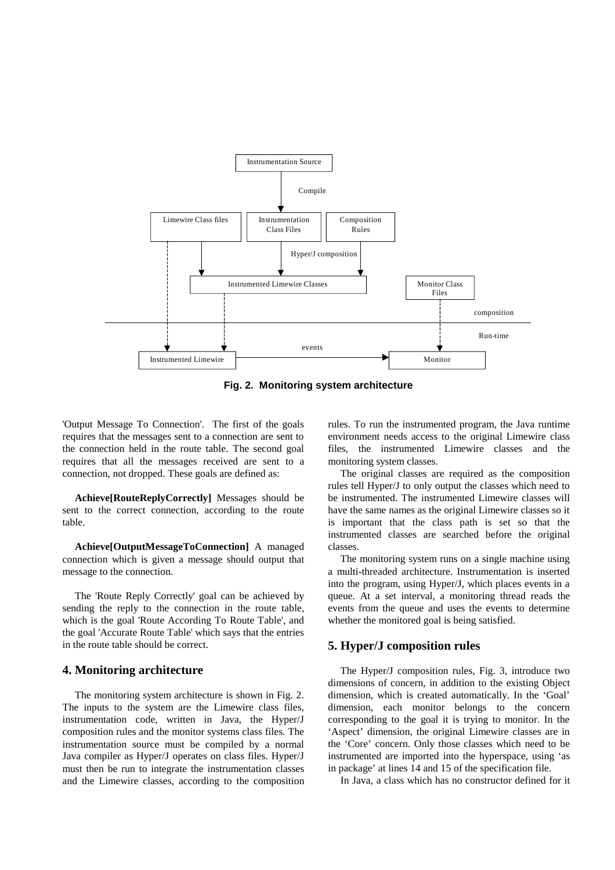

**Fig. 2. Monitoring system architecture**

'Output Message To Connection'. The first of the goals requires that the messages sent to a connection are sent to the connection held in the route table. The second goal requires that all the messages received are sent to a connection, not dropped. These goals are defined as:

**Achieve[RouteReplyCorrectly]** Messages should be sent to the correct connection, according to the route table.

**Achieve[OutputMessageToConnection]** A managed connection which is given a message should output that message to the connection.

The 'Route Reply Correctly' goal can be achieved by sending the reply to the connection in the route table, which is the goal 'Route According To Route Table', and the goal 'Accurate Route Table' which says that the entries in the route table should be correct.

### **4. Monitoring architecture**

The monitoring system architecture is shown in Fig. 2. The inputs to the system are the Limewire class files, instrumentation code, written in Java, the Hyper/J composition rules and the monitor systems class files. The instrumentation source must be compiled by a normal Java compiler as Hyper/J operates on class files. Hyper/J must then be run to integrate the instrumentation classes and the Limewire classes, according to the composition rules. To run the instrumented program, the Java runtime environment needs access to the original Limewire class files, the instrumented Limewire classes and the monitoring system classes.

The original classes are required as the composition rules tell Hyper/J to only output the classes which need to be instrumented. The instrumented Limewire classes will have the same names as the original Limewire classes so it is important that the class path is set so that the instrumented classes are searched before the original classes.

The monitoring system runs on a single machine using a multi-threaded architecture. Instrumentation is inserted into the program, using Hyper/J, which places events in a queue. At a set interval, a monitoring thread reads the events from the queue and uses the events to determine whether the monitored goal is being satisfied.

# **5. Hyper/J composition rules**

The Hyper/J composition rules, Fig. 3, introduce two dimensions of concern, in addition to the existing Object dimension, which is created automatically. In the 'Goal' dimension, each monitor belongs to the concern corresponding to the goal it is trying to monitor. In the 'Aspect' dimension, the original Limewire classes are in the 'Core' concern. Only those classes which need to be instrumented are imported into the hyperspace, using 'as in package' at lines 14 and 15 of the specification file.

In Java, a class which has no constructor defined for it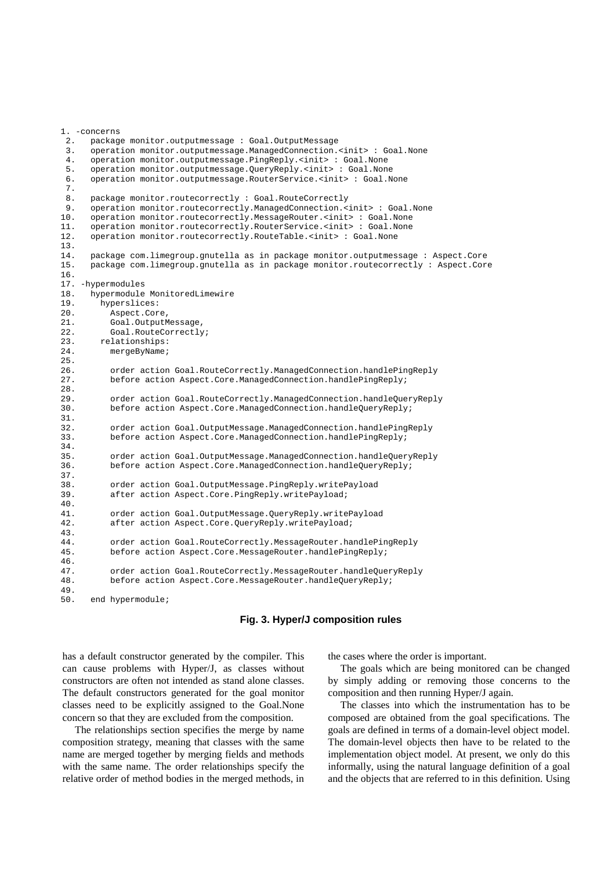```
1. -concerns
 2. package monitor.outputmessage : Goal.OutputMessage
 3. operation monitor.outputmessage.ManagedConnection.<init> : Goal.None
 4. operation monitor.outputmessage.PingReply.<init> : Goal.None
 5. operation monitor.outputmessage.QueryReply.<init> : Goal.None
 6. operation monitor.outputmessage.RouterService.<init> : Goal.None
 7.
 8. package monitor.routecorrectly : Goal.RouteCorrectly<br>9. operation monitor.routecorrectly.ManagedConnection.<
      9. operation monitor.routecorrectly.ManagedConnection.<init> : Goal.None
10. operation monitor.routecorrectly.MessageRouter.<init> : Goal.None
11. operation monitor.routecorrectly.RouterService.<init> : Goal.None
12. operation monitor.routecorrectly.RouteTable.<init> : Goal.None
13.14.14. package com.limegroup.gnutella as in package monitor.outputmessage : Aspect.Core
15. package com.limegroup.gnutella as in package monitor.routecorrectly : Aspect.Core
16.
17. -hypermodules
18. hypermodule MonitoredLimewire<br>19 hyperslices:
        hyperslices:
20. Aspect.Core,
21. Goal.OutputMessage,
22. Goal.RouteCorrectly;
23. relationships:<br>24. mergeByName;
          mergeByName;
25.
26. order action Goal.RouteCorrectly.ManagedConnection.handlePingReply
27. before action Aspect.Core.ManagedConnection.handlePingReply;
28.
29. order action Goal.RouteCorrectly.ManagedConnection.handleQueryReply
30. before action Aspect.Core.ManagedConnection.handleQueryReply;
31.
32. order action Goal.OutputMessage.ManagedConnection.handlePingReply
33. before action Aspect.Core.ManagedConnection.handlePingReply;
34.
35. order action Goal.OutputMessage.ManagedConnection.handleQueryReply<br>36. before action Aspect.Core.ManagedConnection.handleQueryReply;
          before action Aspect.Core.ManagedConnection.handleQueryReply;
37.3838. order action Goal.OutputMessage.PingReply.writePayload
39. after action Aspect.Core.PingReply.writePayload;
\frac{40}{41}.
          41. order action Goal.OutputMessage.QueryReply.writePayload
42. after action Aspect.Core.QueryReply.writePayload;
43.
44. order action Goal.RouteCorrectly.MessageRouter.handlePingReply
45. before action Aspect.Core.MessageRouter.handlePingReply;
46.
47. order action Goal.RouteCorrectly.MessageRouter.handleQueryReply<br>48. before action Aspect.Core.MessageRouter.handleQueryReply;
          48. before action Aspect.Core.MessageRouter.handleQueryReply;
49.
```
50. end hypermodule;

#### **Fig. 3. Hyper/J composition rules**

has a default constructor generated by the compiler. This can cause problems with Hyper/J, as classes without constructors are often not intended as stand alone classes. The default constructors generated for the goal monitor classes need to be explicitly assigned to the Goal.None concern so that they are excluded from the composition.

The relationships section specifies the merge by name composition strategy, meaning that classes with the same name are merged together by merging fields and methods with the same name. The order relationships specify the relative order of method bodies in the merged methods, in

the cases where the order is important.

The goals which are being monitored can be changed by simply adding or removing those concerns to the composition and then running Hyper/J again.

The classes into which the instrumentation has to be composed are obtained from the goal specifications. The goals are defined in terms of a domain-level object model. The domain-level objects then have to be related to the implementation object model. At present, we only do this informally, using the natural language definition of a goal and the objects that are referred to in this definition. Using